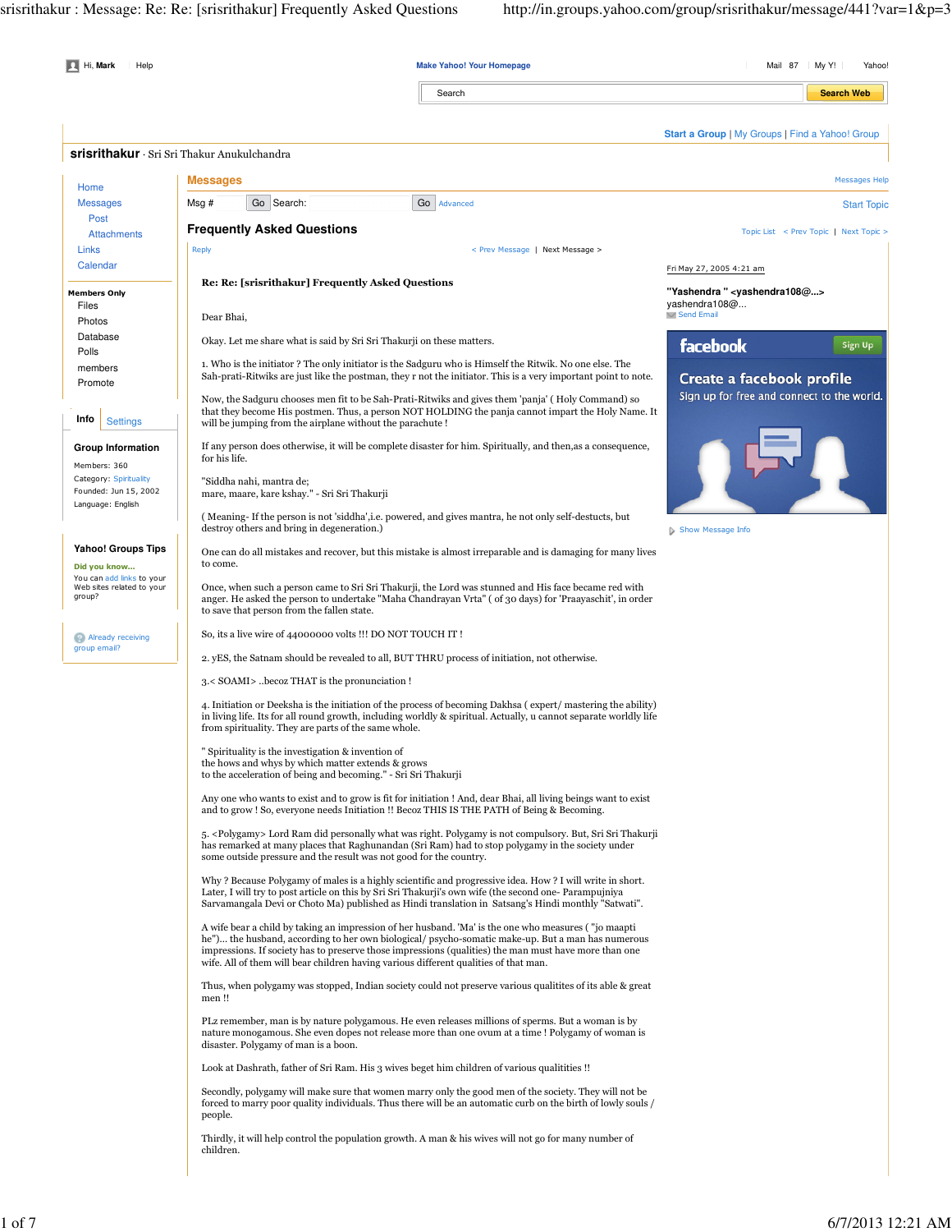| Hi, Mark<br>Help                                                       |                                                                                                                                                                                                                                                                                                                                                                                                            | <b>Make Yahoo! Your Homepage</b>                                                                                   | Mail 87<br>  My Y!<br>Yahoo!                                                                    |  |  |
|------------------------------------------------------------------------|------------------------------------------------------------------------------------------------------------------------------------------------------------------------------------------------------------------------------------------------------------------------------------------------------------------------------------------------------------------------------------------------------------|--------------------------------------------------------------------------------------------------------------------|-------------------------------------------------------------------------------------------------|--|--|
|                                                                        |                                                                                                                                                                                                                                                                                                                                                                                                            | Search                                                                                                             | <b>Search Web</b>                                                                               |  |  |
|                                                                        |                                                                                                                                                                                                                                                                                                                                                                                                            |                                                                                                                    | Start a Group   My Groups   Find a Yahoo! Group                                                 |  |  |
|                                                                        | <b>Srisrithakur</b> · Sri Sri Thakur Anukulchandra                                                                                                                                                                                                                                                                                                                                                         |                                                                                                                    |                                                                                                 |  |  |
| Home                                                                   | <b>Messages</b>                                                                                                                                                                                                                                                                                                                                                                                            |                                                                                                                    | <b>Messages Help</b>                                                                            |  |  |
| <b>Messages</b>                                                        | Go Search:<br>Msg #                                                                                                                                                                                                                                                                                                                                                                                        | Go   Advanced                                                                                                      | <b>Start Topic</b>                                                                              |  |  |
| Post<br><b>Attachments</b>                                             | <b>Frequently Asked Questions</b>                                                                                                                                                                                                                                                                                                                                                                          |                                                                                                                    | Topic List < Prev Topic   Next Topic >                                                          |  |  |
| <b>Links</b><br>Calendar                                               | Reply                                                                                                                                                                                                                                                                                                                                                                                                      | < Prev Message   Next Message >                                                                                    |                                                                                                 |  |  |
|                                                                        | Re: Re: [srisrithakur] Frequently Asked Questions                                                                                                                                                                                                                                                                                                                                                          |                                                                                                                    | Fri May 27, 2005 4:21 am                                                                        |  |  |
| <b>Members Only</b><br>Files                                           |                                                                                                                                                                                                                                                                                                                                                                                                            |                                                                                                                    | "Yashendra " <yashendra108@><br/>yashendra108@<br/><math>\vee</math> Send Email</yashendra108@> |  |  |
| Photos<br>Database                                                     | Dear Bhai,                                                                                                                                                                                                                                                                                                                                                                                                 |                                                                                                                    |                                                                                                 |  |  |
| Polls                                                                  | Okay. Let me share what is said by Sri Sri Thakurji on these matters.                                                                                                                                                                                                                                                                                                                                      |                                                                                                                    | facebook<br>Sign Up                                                                             |  |  |
| members<br>Promote                                                     | 1. Who is the initiator? The only initiator is the Sadguru who is Himself the Ritwik. No one else. The<br>Sah-prati-Ritwiks are just like the postman, they r not the initiator. This is a very important point to note.                                                                                                                                                                                   |                                                                                                                    | Create a facebook profile                                                                       |  |  |
| Info<br><b>Settings</b>                                                | Now, the Sadguru chooses men fit to be Sah-Prati-Ritwiks and gives them 'panja' (Holy Command) so<br>will be jumping from the airplane without the parachute !                                                                                                                                                                                                                                             | that they become His postmen. Thus, a person NOT HOLDING the panja cannot impart the Holy Name. It                 | Sign up for free and connect to the world.                                                      |  |  |
| <b>Group Information</b><br>Members: 360                               | If any person does otherwise, it will be complete disaster for him. Spiritually, and then, as a consequence,<br>for his life.                                                                                                                                                                                                                                                                              |                                                                                                                    |                                                                                                 |  |  |
| Category: Spirituality<br>Founded: Jun 15, 2002<br>Language: English   | "Siddha nahi, mantra de;<br>mare, maare, kare kshay." - Sri Sri Thakurji                                                                                                                                                                                                                                                                                                                                   |                                                                                                                    |                                                                                                 |  |  |
|                                                                        | (Meaning-If the person is not 'siddha', i.e. powered, and gives mantra, he not only self-destucts, but<br>destroy others and bring in degeneration.)                                                                                                                                                                                                                                                       |                                                                                                                    | Show Message Info                                                                               |  |  |
| <b>Yahoo! Groups Tips</b><br>Did you know<br>You can add links to your | One can do all mistakes and recover, but this mistake is almost irreparable and is damaging for many lives<br>to come.                                                                                                                                                                                                                                                                                     |                                                                                                                    |                                                                                                 |  |  |
| Web sites related to your<br>group?                                    | Once, when such a person came to Sri Sri Thakurji, the Lord was stunned and His face became red with<br>anger. He asked the person to undertake "Maha Chandrayan Vrta" (of 30 days) for 'Praayaschit', in order<br>to save that person from the fallen state.                                                                                                                                              |                                                                                                                    |                                                                                                 |  |  |
| Already receiving<br>group email?                                      | So, its a live wire of 44000000 volts !!! DO NOT TOUCH IT!                                                                                                                                                                                                                                                                                                                                                 |                                                                                                                    |                                                                                                 |  |  |
|                                                                        | 2. yES, the Satnam should be revealed to all, BUT THRU process of initiation, not otherwise.                                                                                                                                                                                                                                                                                                               |                                                                                                                    |                                                                                                 |  |  |
|                                                                        | 3. <soami>becoz THAT is the pronunciation !</soami>                                                                                                                                                                                                                                                                                                                                                        |                                                                                                                    |                                                                                                 |  |  |
|                                                                        | 4. Initiation or Deeksha is the initiation of the process of becoming Dakhsa (expert/mastering the ability)<br>in living life. Its for all round growth, including worldly & spiritual. Actually, u cannot separate worldly life<br>from spirituality. They are parts of the same whole.                                                                                                                   |                                                                                                                    |                                                                                                 |  |  |
|                                                                        | Spirituality is the investigation & invention of<br>the hows and whys by which matter extends & grows<br>to the acceleration of being and becoming." - Sri Sri Thakurji                                                                                                                                                                                                                                    |                                                                                                                    |                                                                                                 |  |  |
|                                                                        | Any one who wants to exist and to grow is fit for initiation ! And, dear Bhai, all living beings want to exist<br>and to grow ! So, everyone needs Initiation !! Becoz THIS IS THE PATH of Being & Becoming.                                                                                                                                                                                               |                                                                                                                    |                                                                                                 |  |  |
|                                                                        | has remarked at many places that Raghunandan (Sri Ram) had to stop polygamy in the society under<br>some outside pressure and the result was not good for the country.                                                                                                                                                                                                                                     | 5. <polygamy> Lord Ram did personally what was right. Polygamy is not compulsory. But, Sri Sri Thakurji</polygamy> |                                                                                                 |  |  |
|                                                                        | Why? Because Polygamy of males is a highly scientific and progressive idea. How? I will write in short.<br>Later, I will try to post article on this by Sri Sri Thakurji's own wife (the second one-Parampujniya<br>Sarvamangala Devi or Choto Ma) published as Hindi translation in Satsang's Hindi monthly "Satwati".                                                                                    |                                                                                                                    |                                                                                                 |  |  |
|                                                                        | A wife bear a child by taking an impression of her husband. 'Ma' is the one who measures ("jo maapti<br>he") the husband, according to her own biological/ psycho-somatic make-up. But a man has numerous<br>impressions. If society has to preserve those impressions (qualities) the man must have more than one<br>wife. All of them will bear children having various different qualities of that man. |                                                                                                                    |                                                                                                 |  |  |
|                                                                        | Thus, when polygamy was stopped, Indian society could not preserve various qualitities of its able & great<br>men!!                                                                                                                                                                                                                                                                                        |                                                                                                                    |                                                                                                 |  |  |
|                                                                        | PLz remember, man is by nature polygamous. He even releases millions of sperms. But a woman is by<br>nature monogamous. She even dopes not release more than one ovum at a time ! Polygamy of woman is<br>disaster. Polygamy of man is a boon.                                                                                                                                                             |                                                                                                                    |                                                                                                 |  |  |
|                                                                        | Look at Dashrath, father of Sri Ram. His 3 wives beget him children of various qualitities!!                                                                                                                                                                                                                                                                                                               |                                                                                                                    |                                                                                                 |  |  |
|                                                                        | Secondly, polygamy will make sure that women marry only the good men of the society. They will not be<br>forced to marry poor quality individuals. Thus there will be an automatic curb on the birth of lowly souls /<br>people.                                                                                                                                                                           |                                                                                                                    |                                                                                                 |  |  |
|                                                                        | Thirdly, it will help control the population growth. A man & his wives will not go for many number of<br>children.                                                                                                                                                                                                                                                                                         |                                                                                                                    |                                                                                                 |  |  |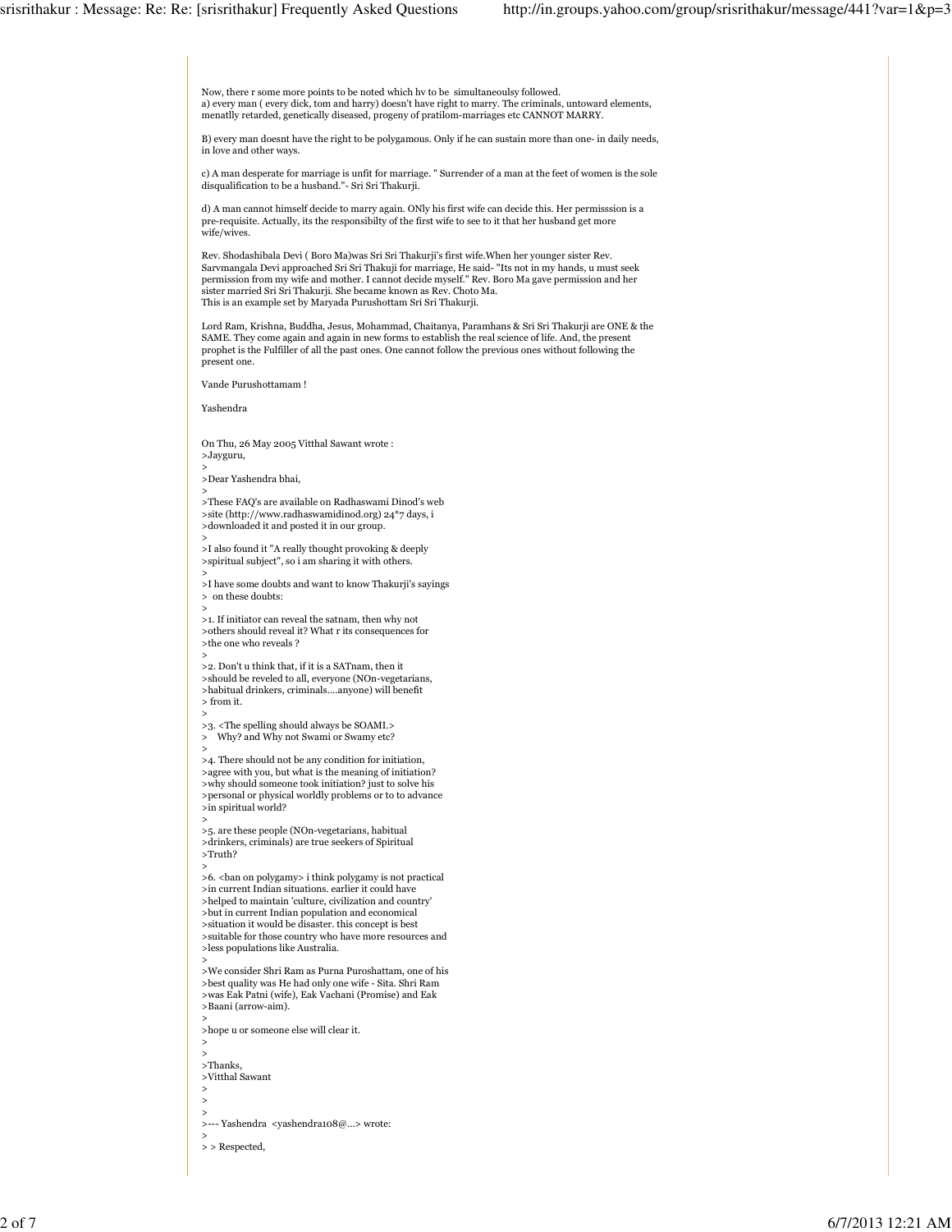Now, there r some more points to be noted which hv to be simultaneoulsy followed. a) every man ( every dick, tom and harry) doesn't have right to marry. The criminals, untoward elements, menatlly retarded, genetically diseased, progeny of pratilom-marriages etc CANNOT MARRY. B) every man doesnt have the right to be polygamous. Only if he can sustain more than one- in daily needs, in love and other ways. c) A man desperate for marriage is unfit for marriage. " Surrender of a man at the feet of women is the sole disqualification to be a husband."- Sri Sri Thakurji. d) A man cannot himself decide to marry again. ONly his first wife can decide this. Her permisssion is a pre-requisite. Actually, its the responsibilty of the first wife to see to it that her husband get more wife/wives. Rev. Shodashibala Devi ( Boro Ma)was Sri Sri Thakurji's first wife.When her younger sister Rev. Sarvmangala Devi approached Sri Sri Thakuji for marriage, He said- "Its not in my hands, u must seek permission from my wife and mother. I cannot decide myself." Rev. Boro Ma gave permission and her sister married Sri Sri Thakurji. She became known as Rev. Choto Ma. This is an example set by Maryada Purushottam Sri Sri Thakurji. Lord Ram, Krishna, Buddha, Jesus, Mohammad, Chaitanya, Paramhans & Sri Sri Thakurji are ONE & the SAME. They come again and again in new forms to establish the real science of life. And, the present prophet is the Fulfiller of all the past ones. One cannot follow the previous ones without following the present one. Vande Purushottamam ! Yashendra On Thu, 26 May 2005 Vitthal Sawant wrote : >Jayguru, > >Dear Yashendra bhai, > >These FAQ's are available on Radhaswami Dinod's web >site (http://www.radhaswamidinod.org) 24\*7 days, i >downloaded it and posted it in our group. > >I also found it "A really thought provoking & deeply >spiritual subject", so i am sharing it with others. > >I have some doubts and want to know Thakurji's sayings > on these doubts: > >1. If initiator can reveal the satnam, then why not >others should reveal it? What r its consequences for >the one who reveals ? > >2. Don't u think that, if it is a SATnam, then it >should be reveled to all, everyone (NOn-vegetarians, >habitual drinkers, criminals....anyone) will benefit > from it. > >3. <The spelling should always be SOAMI.> > Why? and Why not Swami or Swamy etc? > >4. There should not be any condition for initiation, >agree with you, but what is the meaning of initiation? >why should someone took initiation? just to solve his >personal or physical worldly problems or to to advance >in spiritual world? > >5. are these people (NOn-vegetarians, habitual >drinkers, criminals) are true seekers of Spiritual >Truth? > >6. <br/> <br/> <br/>on polygamy> i think polygamy is not practical >in current Indian situations. earlier it could have >helped to maintain 'culture, civilization and country' >but in current Indian population and economical >situation it would be disaster. this concept is best >suitable for those country who have more resources and >less populations like Australia. > >We consider Shri Ram as Purna Puroshattam, one of his >best quality was He had only one wife - Sita. Shri Ram >was Eak Patni (wife), Eak Vachani (Promise) and Eak >Baani (arrow-aim). > >hope u or someone else will clear it. > > >Thanks, >Vitthal Sawant > > > >--- Yashendra <yashendra108@...> wrote: > > > Respected,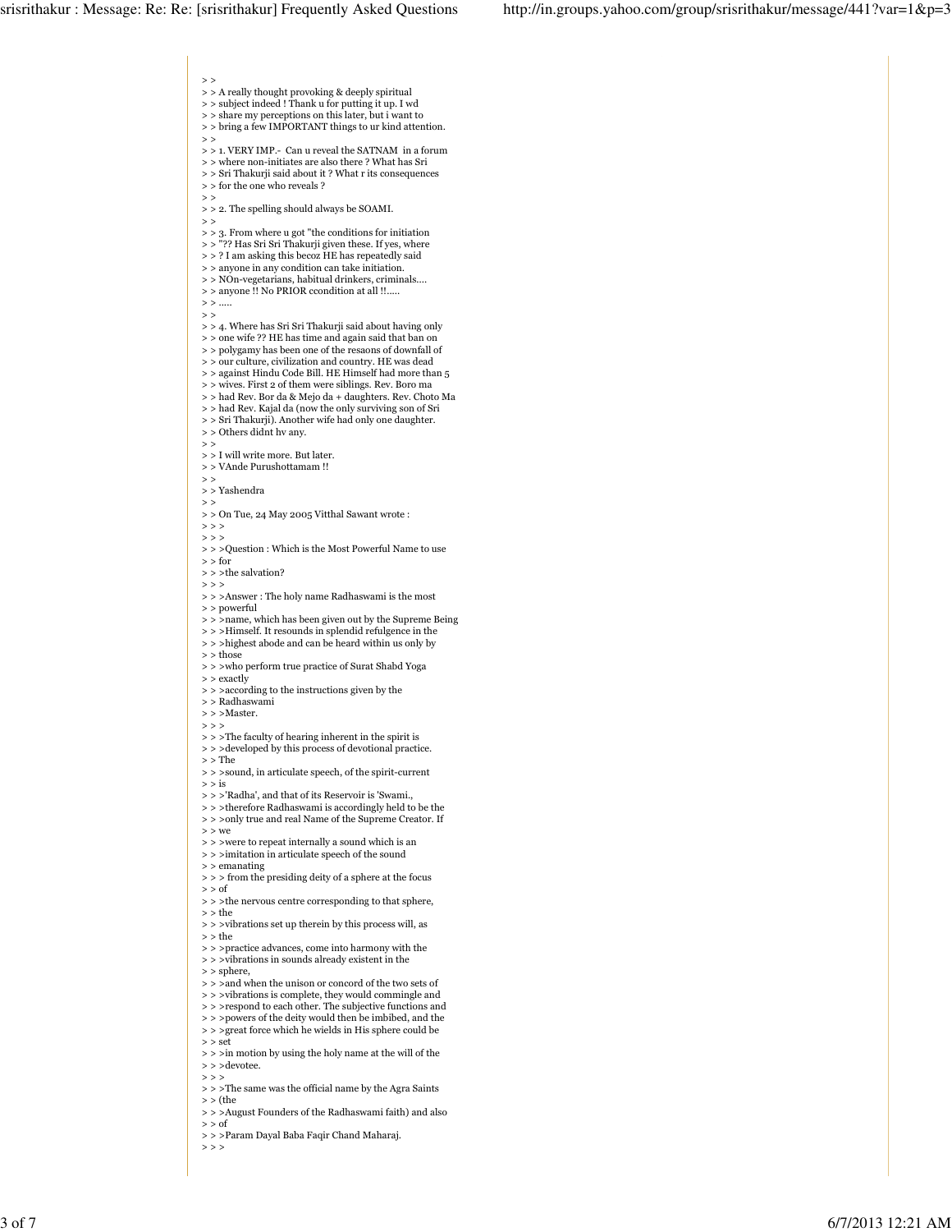$>$ > > A really thought provoking & deeply spiritual > > subject indeed ! Thank u for putting it up. I wd > > share my perceptions on this later, but i want to > > bring a few IMPORTANT things to ur kind attention.  $>$ > > 1. VERY IMP.- Can u reveal the SATNAM in a forum  $\,>$   $>$  where non-initiates are also there ? What has Sri > > Sri Thakurji said about it ? What r its consequences > > for the one who reveals ?  $\rightarrow$ > > 2. The spelling should always be SOAMI.  $\rightarrow$ > > 3. From where u got "the conditions for initiation > > "?? Has Sri Sri Thakurji given these. If yes, where > > ? I am asking this becoz HE has repeatedly said > > anyone in any condition can take initiation. > > NOn-vegetarians, habitual drinkers, criminals.... > > anyone !! No PRIOR ccondition at all !!.....  $>$  > ....  $>$   $>$ > > 4. Where has Sri Sri Thakurji said about having only > > one wife ?? HE has time and again said that ban on > > polygamy has been one of the resaons of downfall of > > our culture, civilization and country. HE was dead > > against Hindu Code Bill. HE Himself had more than 5 > > wives. First 2 of them were siblings. Rev. Boro ma > > had Rev. Bor da & Mejo da + daughters. Rev. Choto Ma > > had Rev. Kajal da (now the only surviving son of Sri > > Sri Thakurji). Another wife had only one daughter. > > Others didnt hv any.  $\rightarrow$   $>$ > > I will write more. But later. > > VAnde Purushottamam !!  $\rightarrow$ > > Yashendra  $>$  $>$   $>$  On Tue, 24 May 2005 Vitthal Sawant wrote :  $>$  >  $>$  $>$  >  $>$ > > >Question : Which is the Most Powerful Name to use  $>$  for > > > the salvation?  $>$  > > > > >Answer : The holy name Radhaswami is the most > > powerful > > >name, which has been given out by the Supreme Being > > >Himself. It resounds in splendid refulgence in the > > >highest abode and can be heard within us only by > > those > > >who perform true practice of Surat Shabd Yoga > > exactly > > >according to the instructions given by the > > Radhaswami > > >Master. > > > > > >The faculty of hearing inherent in the spirit is > > >developed by this process of devotional practice.  $>$   $\mbox{The}$ > > >sound, in articulate speech, of the spirit-current  $>$  is > > >'Radha', and that of its Reservoir is 'Swami., > > >therefore Radhaswami is accordingly held to be the > > >only true and real Name of the Supreme Creator. If  $>$  we > > >were to repeat internally a sound which is an > > >imitation in articulate speech of the sound > > emanating > > > from the presiding deity of a sphere at the focus  $>$  of > > >the nervous centre corresponding to that sphere, > > the > > >vibrations set up therein by this process will, as > > the > > >practice advances, come into harmony with the > > >vibrations in sounds already existent in the  $\,>$  sphere, > > > and when the unison or concord of the two sets of > > >vibrations is complete, they would commingle and > > >respond to each other. The subjective functions and > > >powers of the deity would then be imbibed, and the > > >great force which he wields in His sphere could be > > set  $\,$  >  $\,$  >  $\,$  >  $\,$  in motion by using the holy name at the will of the > > >devotee.  $>$  > > > > >The same was the official name by the Agra Saints > > (the > > >August Founders of the Radhaswami faith) and also  $>$  of

> > >Param Dayal Baba Faqir Chand Maharaj.

 $>$  > >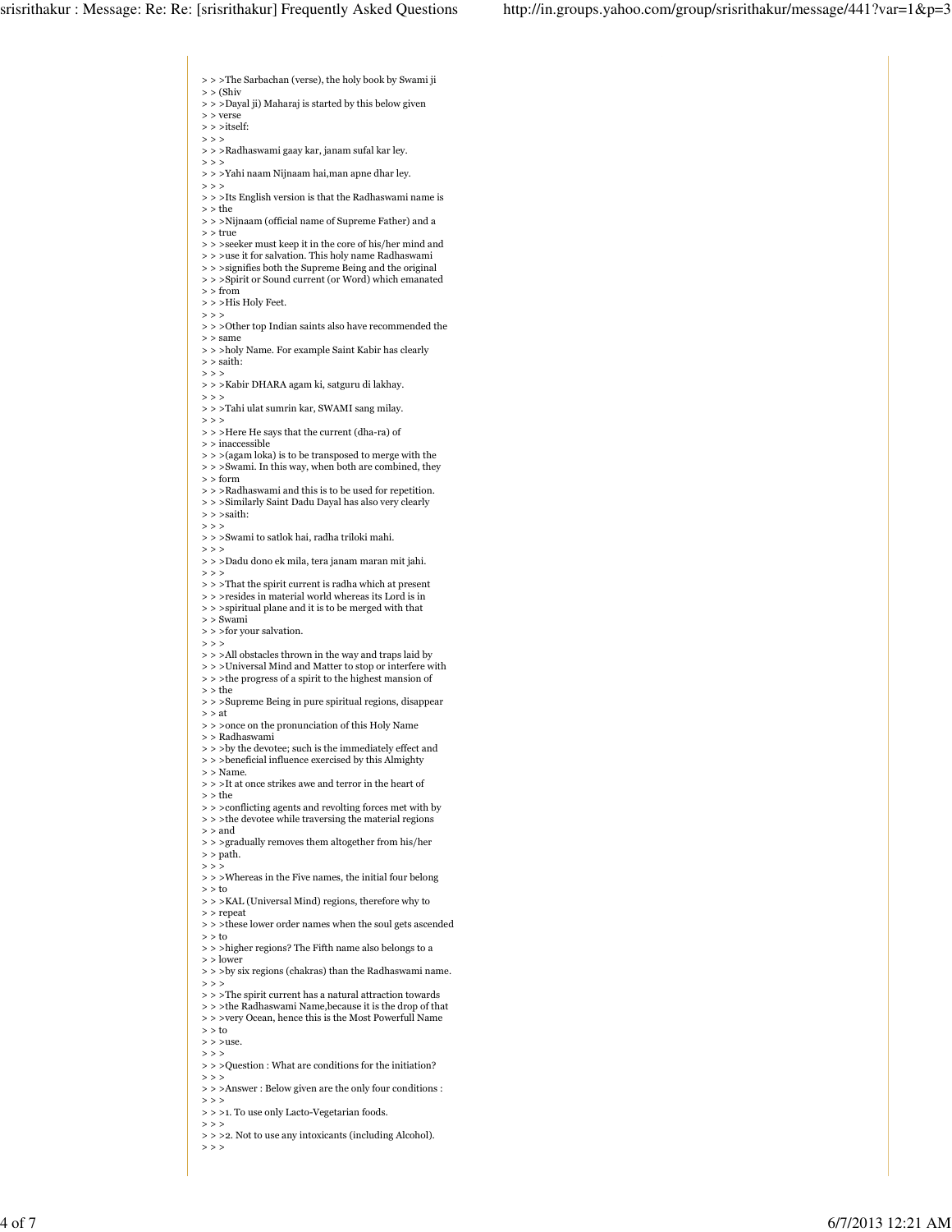> > >The Sarbachan (verse), the holy book by Swami ji  $>$   $\langle$  Shiv > > >Dayal ji) Maharaj is started by this below given > > verse  $>$   $>$   $\text{itself:}$  $>$  > > > > >Radhaswami gaay kar, janam sufal kar ley.  $\rightarrow$   $>$ > > >Yahi naam Nijnaam hai,man apne dhar ley.  $>$  >  $>$ > > >Its English version is that the Radhaswami name is > > the > > >Nijnaam (official name of Supreme Father) and a > > true > > >seeker must keep it in the core of his/her mind and  $>$  >  $>$ use it for salvation. This holy name Radhaswami > > > signifies both the Supreme Being and the original > > >Spirit or Sound current (or Word) which emanated  $>$  from > > >His Holy Feet.  $>$   $>$   $>$ > > >Other top Indian saints also have recommended the > > same > > >holy Name. For example Saint Kabir has clearly > > saith:  $>$  >  $>$ > > >Kabir DHARA agam ki, satguru di lakhay.  $>$  >  $>$ > > >Tahi ulat sumrin kar, SWAMI sang milay.  $>$  > > > > >Here He says that the current (dha-ra) of  $>$  <code>inaccessible</code> > > >(agam loka) is to be transposed to merge with the > > >Swami. In this way, when both are combined, they > > form > > >Radhaswami and this is to be used for repetition. > > >Similarly Saint Dadu Dayal has also very clearly > > >saith:  $>$  >  $>$  $>$   $>$   $>$  Swami to satlok hai, radha triloki mahi.  $>$  > > > > >Dadu dono ek mila, tera janam maran mit jahi.  $\rightarrow$   $>$  $\,$  >  $>$  >That the spirit current is radha which at present > > >resides in material world whereas its Lord is in > > >spiritual plane and it is to be merged with that > > Swami > > >for your salvation.  $\rightarrow$   $>$ > > >All obstacles thrown in the way and traps laid by > > >Universal Mind and Matter to stop or interfere with > > >the progress of a spirit to the highest mansion of > > the > > >Supreme Being in pure spiritual regions, disappear  $>$   $\alpha$  >  $\alpha$  +  $>$   $>$   $>$  once on the pronunciation of this Holy Name > > Radhaswami > > > by the devotee; such is the immediately effect and > > >beneficial influence exercised by this Almighty  $>$   $>$  Name.  $\,>$   $>$   $>$   $\,>$   $\,$   $\,$   $\,$   $\,$   $\,$  at once strikes awe and terror in the heart of  $>$  the  $\,$ > > >conflicting agents and revolting forces met with by > > >the devotee while traversing the material regions > > and > > >gradually removes them altogether from his/her > > path.  $>$  >  $>$ > > >Whereas in the Five names, the initial four belong  $> 5$ > > >KAL (Universal Mind) regions, therefore why to > > repeat > > >these lower order names when the soul gets ascended > > to > > >higher regions? The Fifth name also belongs to a > > lower  $\rm >>$   $>$   $\rm >$   $\rm >$   $\rm by$  six regions (chakras) than the Radhaswami name.  $>$  >  $>$ > > >The spirit current has a natural attraction towards > > >the Radhaswami Name, because it is the drop of that > > >very Ocean, hence this is the Most Powerfull Name > > to  $>$  >  $>$ use  $\rightarrow$   $>$ > > >Question : What are conditions for the initiation?  $>$  > > > > >Answer : Below given are the only four conditions :  $>$  >  $>$ 

> > >1. To use only Lacto-Vegetarian foods.

 $>$  >  $>$ 

> > >2. Not to use any intoxicants (including Alcohol).  $>$  > >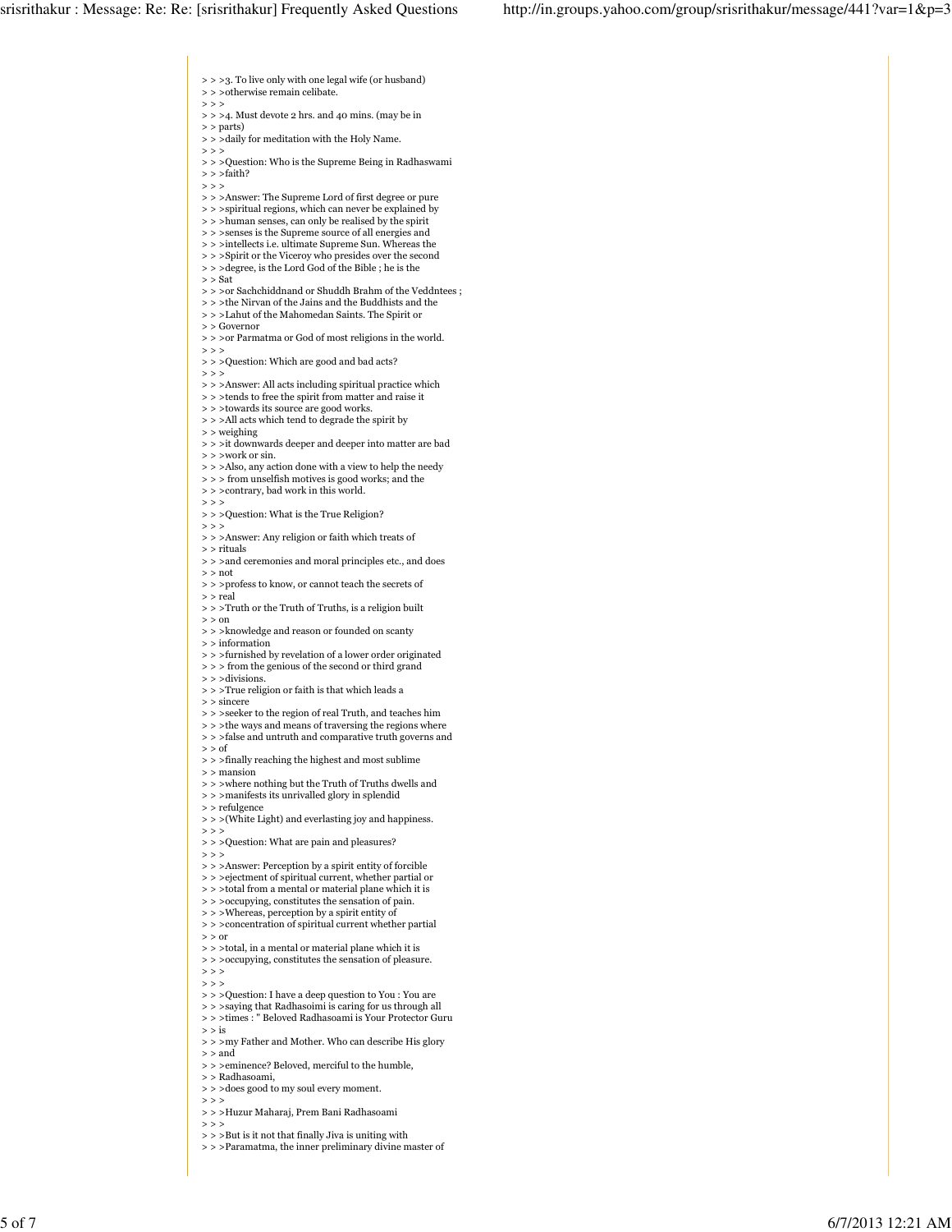> > >3. To live only with one legal wife (or husband) > > >otherwise remain celibate.  $>$  > >  $>$  > > 4. Must devote 2 hrs. and 40 mins. (may be in > > parts)  $>$  >  $>$  daily for meditation with the Holy Name.  $\rightarrow$   $>$   $>$ > > >Question: Who is the Supreme Being in Radhaswami > > >faith?  $>$  >  $>$ > > >Answer: The Supreme Lord of first degree or pure > > >spiritual regions, which can never be explained by > > > human senses, can only be realised by the spirit  $\,$   $>$   $>$   $>$  senses is the Supreme source of all energies and  $\,$  >  $>$  >intellects i.e. ultimate Supreme Sun. Whereas the > > > Spirit or the Viceroy who presides over the second > > >degree, is the Lord God of the Bible ; he is the  $>$   $\rm{Sat}$  $\, >> \, >$ or Sachchiddnand or Shuddh Brahm of the Veddntees ; > > >the Nirvan of the Jains and the Buddhists and the > > >Lahut of the Mahomedan Saints. The Spirit or > > Governor  $>$  >  $>$  or Parmatma or God of most religions in the world.  $>$  > > > > >Question: Which are good and bad acts?  $>$  >  $>$  $\,$  >  $>$   $>$   $>$   $\,$  Answer: All acts including spiritual practice which > > >tends to free the spirit from matter and raise it  $\gt$   $>$   $>$  towards its source are good works. > > >All acts which tend to degrade the spirit by > > weighing > > >it downwards deeper and deeper into matter are bad > > >work or sin. > > >Also, any action done with a view to help the needy > > > from unselfish motives is good works; and the > > >contrary, bad work in this world.  $>$  >  $>$ > > >Question: What is the True Religion?  $>$  >  $>$ > > >Answer: Any religion or faith which treats of > > rituals  $>$  > > and ceremonies and moral principles etc., and does > > not  $\,$  >  $>$   $>$   $>$  profess to know, or cannot teach the secrets of > > real > > >Truth or the Truth of Truths, is a religion built > > on > > >knowledge and reason or founded on scanty > > information > > >furnished by revelation of a lower order originated > > > from the genious of the second or third grand  $>$  >  $>$  divisions. > > >True religion or faith is that which leads a > > sincere > > >seeker to the region of real Truth, and teaches him  $\gt$   $>$   $>$  the ways and means of traversing the regions where > > >false and untruth and comparative truth governs and  $>$   $\circ$  of > > >finally reaching the highest and most sublime > > mansion > > >where nothing but the Truth of Truths dwells and  $\,>$   $>$   $>$  manifests its unrivalled glory in splendid > > refulgence > > >(White Light) and everlasting joy and happiness.  $>$  > > > > >Question: What are pain and pleasures?  $>$  >  $>$ > > >Answer: Perception by a spirit entity of forcible > > >ejectment of spiritual current, whether partial or  $\,$   $>$   $>$   $>$  total from a mental or material plane which it is > > >occupying, constitutes the sensation of pain. > > >Whereas, perception by a spirit entity of > > > concentration of spiritual current whether partial > > or  $\gt$   $>$   $>$  total, in a mental or material plane which it is > > > occupying, constitutes the sensation of pleasure.  $>$  > >  $>$  >  $>$  $\gt$   $>$   $>$  Question: I have a deep question to You : You are > > > saying that Radhasoimi is caring for us through all > > >times : " Beloved Radhasoami is Your Protector Guru  $>$ is > > >my Father and Mother. Who can describe His glory > > and > > >eminence? Beloved, merciful to the humble, > > Radhasoami,

- > > >does good to my soul every moment.
- $>$  >  $>$
- > > >Huzur Maharaj, Prem Bani Radhasoami
- $>$  > >
- $>$  >  $>$  But is it not that finally Jiva is uniting with
- > > >Paramatma, the inner preliminary divine master of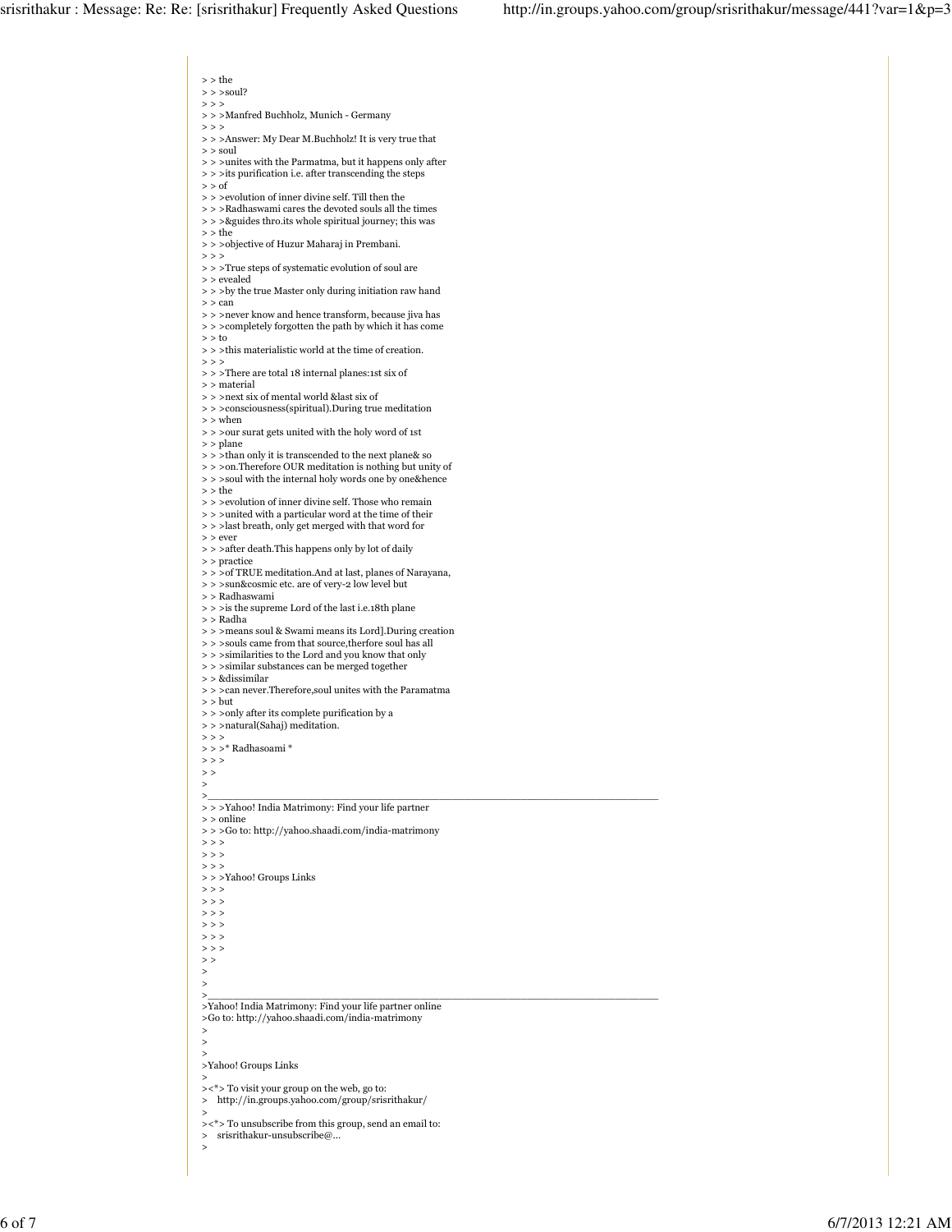> > the > > >soul?  $>$  > > > > >Manfred Buchholz, Munich - Germany  $>$  >  $>$ > > >Answer: My Dear M.Buchholz! It is very true that  $>$  soul > > >unites with the Parmatma, but it happens only after > > >its purification i.e. after transcending the steps  $>$  of > > >evolution of inner divine self. Till then the  $\,$  >  $\,$   $>$   $>$   $\,$  Radhaswami cares the devoted souls all the times > > >&guides thro.its whole spiritual journey; this was > > the > > >objective of Huzur Maharaj in Prembani.  $>$  >  $>$ > > >True steps of systematic evolution of soul are > > evealed  $>$  >  $>$  by the true Master only during initiation raw hand > > can > > >never know and hence transform, because jiva has > > >completely forgotten the path by which it has come  $> 5$ > > >this materialistic world at the time of creation.  $>$  > > > > >There are total 18 internal planes:1st six of  $> \,$  material  $\,>$   $>$   $>$  next six of mental world &last six of  $\,>>\,>$  consciousness(spiritual).<br>During true meditation > > when > > >our surat gets united with the holy word of 1st > > plane > > >than only it is transcended to the next plane& so > > >on.Therefore OUR meditation is nothing but unity of > > >soul with the internal holy words one by one&hence > > the > > >evolution of inner divine self. Those who remain > > >united with a particular word at the time of their > > >last breath, only get merged with that word for > > ever > > > after death.This happens only by lot of daily > > practice > > > of TRUE meditation.And at last, planes of Narayana, > > >sun&cosmic etc. are of very-2 low level but > > Radhaswami > > >is the supreme Lord of the last i.e.18th plane > > Radha > > >means soul & Swami means its Lord].During creation  $\,>$   $\,>$   $\,>$  souls came from that source,<br>therfore soul has all > > >similarities to the Lord and you know that only > > >similar substances can be merged together > > &dissimilar > > >can never.Therefore,soul unites with the Paramatma > > but > > >only after its complete purification by a > > >natural(Sahaj) meditation.  $>$  >  $>$ > > >\* Radhasoami \*  $>$  >  $>$  $>$   $>$ > >\_\_\_\_\_\_\_\_\_\_\_\_\_\_\_\_\_\_\_\_\_\_\_\_\_\_\_\_\_\_\_\_\_\_\_\_\_\_\_\_\_\_\_\_\_\_\_\_\_\_\_\_\_\_\_\_\_\_\_\_\_\_\_\_\_\_\_\_\_\_\_\_ > > >Yahoo! India Matrimony: Find your life partner > > online > > >Go to: http://yahoo.shaadi.com/india-matrimony  $>$   $>$  $\rightarrow$  > >  $\gt$   $>$ > > >Yahoo! Groups Links  $>$  >  $>$  $>$  > >  $>$  >  $>$  $>$  >  $>$  $>$  >  $>$  $>$  >  $>$  $>$   $>$ > > >\_\_\_\_\_\_\_\_\_\_\_\_\_\_\_\_\_\_\_\_\_\_\_\_\_\_\_\_\_\_\_\_\_\_\_\_\_\_\_\_\_\_\_\_\_\_\_\_\_\_\_\_\_\_\_\_\_\_\_\_\_\_\_\_\_\_\_\_\_\_\_\_ >Yahoo! India Matrimony: Find your life partner online >Go to: http://yahoo.shaadi.com/india-matrimony > > > >Yahoo! Groups Links > ><\*> To visit your group on the web, go to: > http://in.groups.yahoo.com/group/srisrithakur/ >  $>>$ \*> To unsubscribe from this group, send an email to:<br>> sristithakur-unsubscribe@ > srisrithakur-unsubscribe@...

>